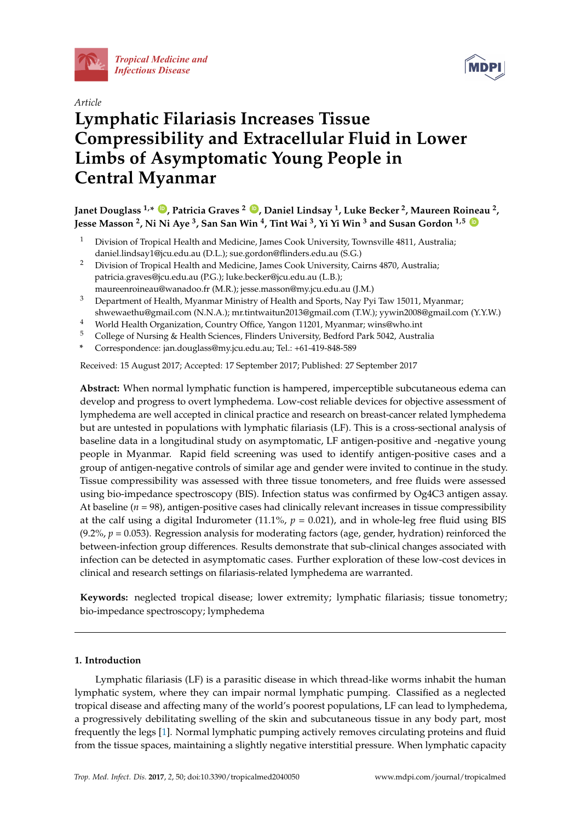

*[Tropical Medicine and](http://www.mdpi.com/journal/tropicalmed)  Infectious Disease*



# *Article* **Lymphatic Filariasis Increases Tissue Compressibility and Extracellular Fluid in Lower Limbs of Asymptomatic Young People in Central Myanmar**

**Janet Douglass 1,\* [ID](https://orcid.org/0000-0002-3097-3132) , Patricia Graves <sup>2</sup> [ID](https://orcid.org/0000-0002-5215-3901) , Daniel Lindsay <sup>1</sup> , Luke Becker <sup>2</sup> , Maureen Roineau <sup>2</sup> , Jesse Masson <sup>2</sup> , Ni Ni Aye <sup>3</sup> , San San Win <sup>4</sup> , Tint Wai <sup>3</sup> , Yi Yi Win <sup>3</sup> and Susan Gordon 1,5 [ID](https://orcid.org/0000-0002-4760-1212)**

- <sup>1</sup> Division of Tropical Health and Medicine, James Cook University, Townsville 4811, Australia; daniel.lindsay1@jcu.edu.au (D.L.); sue.gordon@flinders.edu.au (S.G.)
- <sup>2</sup> Division of Tropical Health and Medicine, James Cook University, Cairns 4870, Australia; patricia.graves@jcu.edu.au (P.G.); luke.becker@jcu.edu.au (L.B.);
- maureenroineau@wanadoo.fr (M.R.); jesse.masson@my.jcu.edu.au (J.M.) <sup>3</sup> Department of Health, Myanmar Ministry of Health and Sports, Nay Pyi Taw 15011, Myanmar;
- shwewaethu@gmail.com (N.N.A.); mr.tintwaitun2013@gmail.com (T.W.); yywin2008@gmail.com (Y.Y.W.)
- 4 World Health Organization, Country Office, Yangon 11201, Myanmar; wins@who.int<br>5 College of Nursing & Health Sciences, Elinders University, Bedford Park 5042, Austral
- <sup>5</sup> College of Nursing & Health Sciences, Flinders University, Bedford Park 5042, Australia
- **\*** Correspondence: jan.douglass@my.jcu.edu.au; Tel.: +61-419-848-589

Received: 15 August 2017; Accepted: 17 September 2017; Published: 27 September 2017

**Abstract:** When normal lymphatic function is hampered, imperceptible subcutaneous edema can develop and progress to overt lymphedema. Low-cost reliable devices for objective assessment of lymphedema are well accepted in clinical practice and research on breast-cancer related lymphedema but are untested in populations with lymphatic filariasis (LF). This is a cross-sectional analysis of baseline data in a longitudinal study on asymptomatic, LF antigen-positive and -negative young people in Myanmar. Rapid field screening was used to identify antigen-positive cases and a group of antigen-negative controls of similar age and gender were invited to continue in the study. Tissue compressibility was assessed with three tissue tonometers, and free fluids were assessed using bio-impedance spectroscopy (BIS). Infection status was confirmed by Og4C3 antigen assay. At baseline  $(n = 98)$ , antigen-positive cases had clinically relevant increases in tissue compressibility at the calf using a digital Indurometer (11.1%,  $p = 0.021$ ), and in whole-leg free fluid using BIS  $(9.2\%, p = 0.053)$ . Regression analysis for moderating factors (age, gender, hydration) reinforced the between-infection group differences. Results demonstrate that sub-clinical changes associated with infection can be detected in asymptomatic cases. Further exploration of these low-cost devices in clinical and research settings on filariasis-related lymphedema are warranted.

**Keywords:** neglected tropical disease; lower extremity; lymphatic filariasis; tissue tonometry; bio-impedance spectroscopy; lymphedema

## **1. Introduction**

Lymphatic filariasis (LF) is a parasitic disease in which thread-like worms inhabit the human lymphatic system, where they can impair normal lymphatic pumping. Classified as a neglected tropical disease and affecting many of the world's poorest populations, LF can lead to lymphedema, a progressively debilitating swelling of the skin and subcutaneous tissue in any body part, most frequently the legs [\[1\]](#page-12-0). Normal lymphatic pumping actively removes circulating proteins and fluid from the tissue spaces, maintaining a slightly negative interstitial pressure. When lymphatic capacity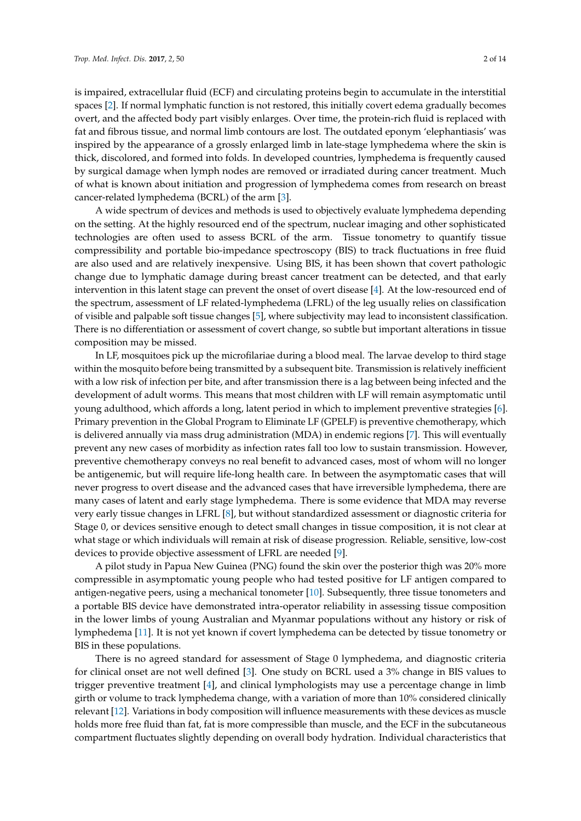is impaired, extracellular fluid (ECF) and circulating proteins begin to accumulate in the interstitial spaces [\[2\]](#page-12-1). If normal lymphatic function is not restored, this initially covert edema gradually becomes overt, and the affected body part visibly enlarges. Over time, the protein-rich fluid is replaced with fat and fibrous tissue, and normal limb contours are lost. The outdated eponym 'elephantiasis' was inspired by the appearance of a grossly enlarged limb in late-stage lymphedema where the skin is thick, discolored, and formed into folds. In developed countries, lymphedema is frequently caused by surgical damage when lymph nodes are removed or irradiated during cancer treatment. Much of what is known about initiation and progression of lymphedema comes from research on breast cancer-related lymphedema (BCRL) of the arm [\[3\]](#page-12-2).

A wide spectrum of devices and methods is used to objectively evaluate lymphedema depending on the setting. At the highly resourced end of the spectrum, nuclear imaging and other sophisticated technologies are often used to assess BCRL of the arm. Tissue tonometry to quantify tissue compressibility and portable bio-impedance spectroscopy (BIS) to track fluctuations in free fluid are also used and are relatively inexpensive. Using BIS, it has been shown that covert pathologic change due to lymphatic damage during breast cancer treatment can be detected, and that early intervention in this latent stage can prevent the onset of overt disease [\[4\]](#page-12-3). At the low-resourced end of the spectrum, assessment of LF related-lymphedema (LFRL) of the leg usually relies on classification of visible and palpable soft tissue changes [\[5\]](#page-12-4), where subjectivity may lead to inconsistent classification. There is no differentiation or assessment of covert change, so subtle but important alterations in tissue composition may be missed.

In LF, mosquitoes pick up the microfilariae during a blood meal. The larvae develop to third stage within the mosquito before being transmitted by a subsequent bite. Transmission is relatively inefficient with a low risk of infection per bite, and after transmission there is a lag between being infected and the development of adult worms. This means that most children with LF will remain asymptomatic until young adulthood, which affords a long, latent period in which to implement preventive strategies [\[6\]](#page-12-5). Primary prevention in the Global Program to Eliminate LF (GPELF) is preventive chemotherapy, which is delivered annually via mass drug administration (MDA) in endemic regions [\[7\]](#page-12-6). This will eventually prevent any new cases of morbidity as infection rates fall too low to sustain transmission. However, preventive chemotherapy conveys no real benefit to advanced cases, most of whom will no longer be antigenemic, but will require life-long health care. In between the asymptomatic cases that will never progress to overt disease and the advanced cases that have irreversible lymphedema, there are many cases of latent and early stage lymphedema. There is some evidence that MDA may reverse very early tissue changes in LFRL [\[8\]](#page-12-7), but without standardized assessment or diagnostic criteria for Stage 0, or devices sensitive enough to detect small changes in tissue composition, it is not clear at what stage or which individuals will remain at risk of disease progression. Reliable, sensitive, low-cost devices to provide objective assessment of LFRL are needed [\[9\]](#page-12-8).

A pilot study in Papua New Guinea (PNG) found the skin over the posterior thigh was 20% more compressible in asymptomatic young people who had tested positive for LF antigen compared to antigen-negative peers, using a mechanical tonometer [\[10\]](#page-12-9). Subsequently, three tissue tonometers and a portable BIS device have demonstrated intra-operator reliability in assessing tissue composition in the lower limbs of young Australian and Myanmar populations without any history or risk of lymphedema [\[11\]](#page-12-10). It is not yet known if covert lymphedema can be detected by tissue tonometry or BIS in these populations.

There is no agreed standard for assessment of Stage 0 lymphedema, and diagnostic criteria for clinical onset are not well defined [\[3\]](#page-12-2). One study on BCRL used a 3% change in BIS values to trigger preventive treatment [\[4\]](#page-12-3), and clinical lymphologists may use a percentage change in limb girth or volume to track lymphedema change, with a variation of more than 10% considered clinically relevant [\[12\]](#page-12-11). Variations in body composition will influence measurements with these devices as muscle holds more free fluid than fat, fat is more compressible than muscle, and the ECF in the subcutaneous compartment fluctuates slightly depending on overall body hydration. Individual characteristics that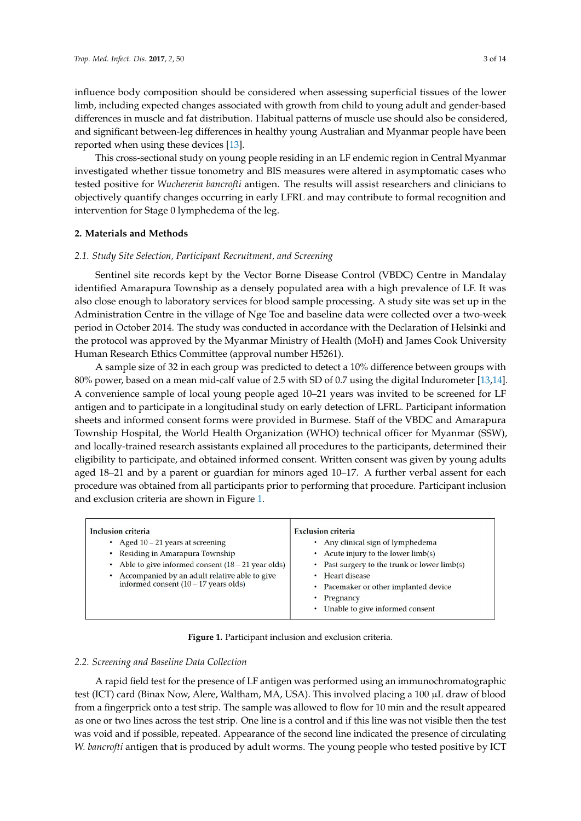influence body composition should be considered when assessing superficial tissues of the lower limb, including expected changes associated with growth from child to young adult and gender-based *Trop. Med. Infect. Dis.* **2017**, *2*, 50 3 of 13 differences in muscle and fat distribution. Habitual patterns of muscle use should also be considered,<br>the lower limb, including to young to young to young to young to young to young to young to young to young to and significant between-leg differences in healthy young Australian and Myanmar people have been<br>-reported when using these devices [\[13\]](#page-12-12).<br>showld also be considered, and significant between-leg differences in healthy young Australian and significant

This cross-sectional study on young people residing in an LF endemic region in Central Myanmar investigated whether tissue tonometry and BIS measures were altered in asymptomatic cases who tested positive for *Wuchereria bancrofti* antigen. The results will assist researchers and clinicians to objectively quantify changes occurring in early LFRL and may contribute to formal recognition and intervention for Stage 0 lymphedema of the leg.

## **2. Materials and Methods**

#### *2.1. Study Site Selection, Participant Recruitment, and Screening* **2. Materials and Methods**

Sentinel site records kept by the Vector Borne Disease Control (VBDC) Centre in Mandalay identified Amarapura Township as a densely populated area with a high prevalence of LF. It was also close enough to laboratory services for blood sample processing. A study site was set up in the Administration Centre in the village of Nge Toe and baseline data were collected over a two-week period in October 2014. The study was conducted in accordance with the Declaration of Helsinki and the protocol was approved by the Myanmar Ministry of Health (MoH) and James Cook University Human Research Ethics Committee (approval number H5261).

A sample size of 32 in each group was predicted to detect a 10% difference between groups with 80% power, based on a mean mid-calf value of 2.5 with SD of 0.7 using the digital Indurometer [\[13](#page-12-12)[,14\]](#page-12-13). A convenience sample of local young people aged 10–21 years was invited to be screened for LF antigen and to participate in a longitudinal study on early detection of LFRL. Participant information sheets and informed consent forms were provided in Burmese. Staff of the VBDC and Amarapura International and information of the United States and information of the United States and information of the<br>Township Hospital, the World Health Organization (WHO) technical officer for Myanmar (SSW), Fownship Hospital, the World Health Organization (WHO) technical officer for Hyanmar (COW) eligibility to participate, and obtained informed consent. Written consent was given by young adults aged 18–21 and by a parent or guardian for minors aged 10–17. A further verbal assent for each procedure was obtained from all participants prior to performing that procedure. Participant inclusion and exclusion criteria are shown in Figure [1.](#page-2-0)  $\alpha$  because the research assistants explained all procedures to the participants, determined the

<span id="page-2-0"></span>

| <b>Inclusion criteria</b><br>• Aged $10 - 21$ years at screening<br>Residing in Amarapura Township<br>Able to give informed consent $(18 – 21$ year olds)<br>Accompanied by an adult relative able to give<br>informed consent $(10 - 17$ years olds) | <b>Exclusion criteria</b><br>Any clinical sign of lymphedema<br>Acute injury to the lower limb(s)<br>Past surgery to the trunk or lower limb(s)<br>$\bullet$<br><b>Heart disease</b><br>• Pacemaker or other implanted device<br>Pregnancy<br>Unable to give informed consent |
|-------------------------------------------------------------------------------------------------------------------------------------------------------------------------------------------------------------------------------------------------------|-------------------------------------------------------------------------------------------------------------------------------------------------------------------------------------------------------------------------------------------------------------------------------|
|-------------------------------------------------------------------------------------------------------------------------------------------------------------------------------------------------------------------------------------------------------|-------------------------------------------------------------------------------------------------------------------------------------------------------------------------------------------------------------------------------------------------------------------------------|

**Figure 1.** Participant inclusion and exclusion criteria. **Figure 1.** Participant inclusion and exclusion criteria.

## *2.2. Screening and Baseline Data Collection 2.2. Screening and Baseline Data Collection*

A rapid field test for the presence of LF and the presence of LF antigen was performed using antigen was performed using and  $\alpha$ A rapid field test for the presence of LF antigen was performed using an immunochromatographic<br>
A rapid field test for the presence of LF antigen was performed using an immunochromatographic test (ICT) card (Binax Now, Alere, Waltham, MA, USA). This involved placing a 100 µL draw of blood from a fingerprick onto a test strip. The sample was allowed to flow for  $10$  min and the result appeared as one or two lines across the test strip. One line is a control and if this line was not visible then the test was void and if possible, repeated. Appearance of the second line indicated the presence of circulating *W. bancrofti* antigen that is produced by adult worms. The young people who tested positive by ICT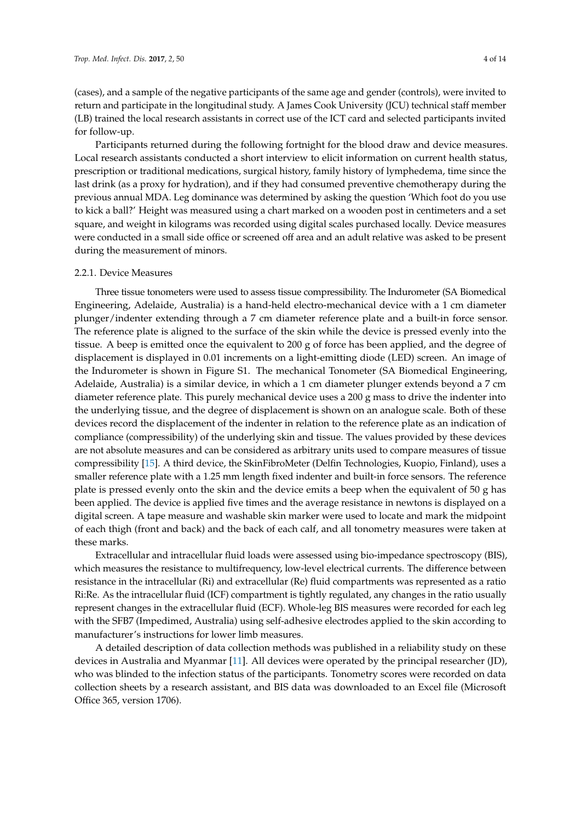(cases), and a sample of the negative participants of the same age and gender (controls), were invited to return and participate in the longitudinal study. A James Cook University (JCU) technical staff member (LB) trained the local research assistants in correct use of the ICT card and selected participants invited for follow-up.

Participants returned during the following fortnight for the blood draw and device measures. Local research assistants conducted a short interview to elicit information on current health status, prescription or traditional medications, surgical history, family history of lymphedema, time since the last drink (as a proxy for hydration), and if they had consumed preventive chemotherapy during the previous annual MDA. Leg dominance was determined by asking the question 'Which foot do you use to kick a ball?' Height was measured using a chart marked on a wooden post in centimeters and a set square, and weight in kilograms was recorded using digital scales purchased locally. Device measures were conducted in a small side office or screened off area and an adult relative was asked to be present during the measurement of minors.

#### 2.2.1. Device Measures

Three tissue tonometers were used to assess tissue compressibility. The Indurometer (SA Biomedical Engineering, Adelaide, Australia) is a hand-held electro-mechanical device with a 1 cm diameter plunger/indenter extending through a 7 cm diameter reference plate and a built-in force sensor. The reference plate is aligned to the surface of the skin while the device is pressed evenly into the tissue. A beep is emitted once the equivalent to 200 g of force has been applied, and the degree of displacement is displayed in 0.01 increments on a light-emitting diode (LED) screen. An image of the Indurometer is shown in Figure S1. The mechanical Tonometer (SA Biomedical Engineering, Adelaide, Australia) is a similar device, in which a 1 cm diameter plunger extends beyond a 7 cm diameter reference plate. This purely mechanical device uses a 200 g mass to drive the indenter into the underlying tissue, and the degree of displacement is shown on an analogue scale. Both of these devices record the displacement of the indenter in relation to the reference plate as an indication of compliance (compressibility) of the underlying skin and tissue. The values provided by these devices are not absolute measures and can be considered as arbitrary units used to compare measures of tissue compressibility [\[15\]](#page-12-14). A third device, the SkinFibroMeter (Delfin Technologies, Kuopio, Finland), uses a smaller reference plate with a 1.25 mm length fixed indenter and built-in force sensors. The reference plate is pressed evenly onto the skin and the device emits a beep when the equivalent of 50 g has been applied. The device is applied five times and the average resistance in newtons is displayed on a digital screen. A tape measure and washable skin marker were used to locate and mark the midpoint of each thigh (front and back) and the back of each calf, and all tonometry measures were taken at these marks.

Extracellular and intracellular fluid loads were assessed using bio-impedance spectroscopy (BIS), which measures the resistance to multifrequency, low-level electrical currents. The difference between resistance in the intracellular (Ri) and extracellular (Re) fluid compartments was represented as a ratio Ri:Re. As the intracellular fluid (ICF) compartment is tightly regulated, any changes in the ratio usually represent changes in the extracellular fluid (ECF). Whole-leg BIS measures were recorded for each leg with the SFB7 (Impedimed, Australia) using self-adhesive electrodes applied to the skin according to manufacturer's instructions for lower limb measures.

A detailed description of data collection methods was published in a reliability study on these devices in Australia and Myanmar [\[11\]](#page-12-10). All devices were operated by the principal researcher (JD), who was blinded to the infection status of the participants. Tonometry scores were recorded on data collection sheets by a research assistant, and BIS data was downloaded to an Excel file (Microsoft Office 365, version 1706).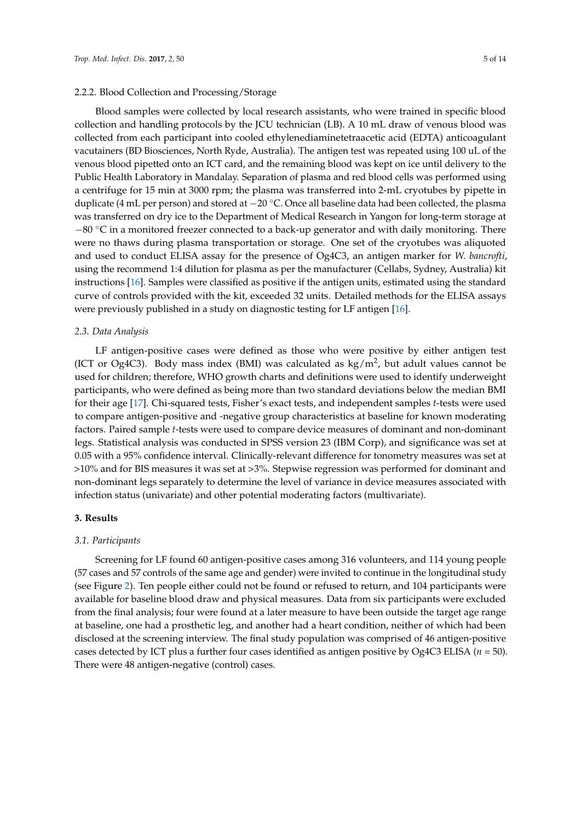#### 2.2.2. Blood Collection and Processing/Storage

Blood samples were collected by local research assistants, who were trained in specific blood collection and handling protocols by the JCU technician (LB). A 10 mL draw of venous blood was collected from each participant into cooled ethylenediaminetetraacetic acid (EDTA) anticoagulant vacutainers (BD Biosciences, North Ryde, Australia). The antigen test was repeated using 100 uL of the venous blood pipetted onto an ICT card, and the remaining blood was kept on ice until delivery to the Public Health Laboratory in Mandalay. Separation of plasma and red blood cells was performed using a centrifuge for 15 min at 3000 rpm; the plasma was transferred into 2-mL cryotubes by pipette in duplicate (4 mL per person) and stored at −20 ◦C. Once all baseline data had been collected, the plasma was transferred on dry ice to the Department of Medical Research in Yangon for long-term storage at  $-80$  °C in a monitored freezer connected to a back-up generator and with daily monitoring. There were no thaws during plasma transportation or storage. One set of the cryotubes was aliquoted and used to conduct ELISA assay for the presence of Og4C3, an antigen marker for *W. bancrofti*, using the recommend 1:4 dilution for plasma as per the manufacturer (Cellabs, Sydney, Australia) kit instructions [\[16\]](#page-12-15). Samples were classified as positive if the antigen units, estimated using the standard curve of controls provided with the kit, exceeded 32 units. Detailed methods for the ELISA assays were previously published in a study on diagnostic testing for LF antigen [\[16\]](#page-12-15).

## *2.3. Data Analysis*

LF antigen-positive cases were defined as those who were positive by either antigen test (ICT or Og4C3). Body mass index (BMI) was calculated as  $\text{kg/m}^2$ , but adult values cannot be used for children; therefore, WHO growth charts and definitions were used to identify underweight participants, who were defined as being more than two standard deviations below the median BMI for their age [\[17\]](#page-12-16). Chi-squared tests, Fisher's exact tests, and independent samples *t*-tests were used to compare antigen-positive and -negative group characteristics at baseline for known moderating factors. Paired sample *t*-tests were used to compare device measures of dominant and non-dominant legs. Statistical analysis was conducted in SPSS version 23 (IBM Corp), and significance was set at 0.05 with a 95% confidence interval. Clinically-relevant difference for tonometry measures was set at >10% and for BIS measures it was set at >3%. Stepwise regression was performed for dominant and non-dominant legs separately to determine the level of variance in device measures associated with infection status (univariate) and other potential moderating factors (multivariate).

#### **3. Results**

#### *3.1. Participants*

Screening for LF found 60 antigen-positive cases among 316 volunteers, and 114 young people (57 cases and 57 controls of the same age and gender) were invited to continue in the longitudinal study (see Figure [2\)](#page-5-0). Ten people either could not be found or refused to return, and 104 participants were available for baseline blood draw and physical measures. Data from six participants were excluded from the final analysis; four were found at a later measure to have been outside the target age range at baseline, one had a prosthetic leg, and another had a heart condition, neither of which had been disclosed at the screening interview. The final study population was comprised of 46 antigen-positive cases detected by ICT plus a further four cases identified as antigen positive by Og4C3 ELISA (*n* = 50). There were 48 antigen-negative (control) cases.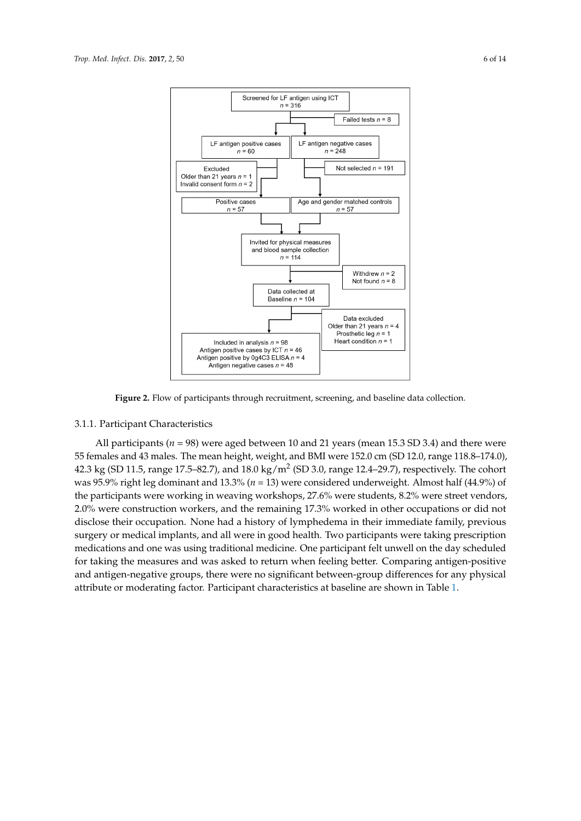<span id="page-5-0"></span>

**Figure 2.** Flow of participants through recruitment, screening, and baseline data collection. **Figure 2.** Flow of participants through recruitment, screening, and baseline data collection.

## 3.1.1. Participant Characteristics 3.1.1. Participant Characteristics

All participants (*n* = 98) were aged between 10 and 21 years (mean 15.3 SD 3.4) and there were All participants (*n* = 98) were aged between 10 and 21 years (mean 15.3 SD 3.4) and there were 55 females and 43 males. The mean height, weight, and BMI were 152.0 cm (SD 12.0, range 118.8– 55 females and 43 males. The mean height, weight, and BMI were 152.0 cm (SD 12.0, range 118.8–174.0), 174.0), 42.3 kg (SD 11.5, range 17.5–82.7), and 18.0 kg/m2 (SD 3.0, range 12.4–29.7), respectively. The 42.3 kg (SD 11.5, range 17.5–82.7), and 18.0 kg/m<sup>2</sup> (SD 3.0, range 12.4–29.7), respectively. The cohort cohort was 95.9% right leg dominant and 13.3% (*n* = 13) were considered underweight. Almost half was 95.9% right leg dominant and 13.3% (*n* = 13) were considered underweight. Almost half (44.9%) of (44.9%) of the participants were working in weaving workshops, 27.6% were students, 8.2% were the participants were working in weaving workshops, 27.6% were students, 8.2% were street vendors, street vendors, 2.0% were construction workers, and the remaining 17.3% worked in other 2.0% were construction workers, and the remaining 17.3% worked in other occupations or did not occupations or did not disclose their occupation. None had a history of lymphedema in their disclose their occupation. None had a history of lymphedema in their immediate family, previous immediate family, previous surgery or medical implants, and all were in good health. Two surgery or medical implants, and all were in good health. Two participants were taking prescription participants were taking prescription medications and one was using traditional medicine. One medications and one was using traditional medicine. One participant felt unwell on the day scheduled participant felt unwell on the day scheduled for taking the measures and was asked to return when for taking the measures and was asked to return when feeling better. Comparing antigen-positive feeling better. Comparing antigen-positive and antigen-negative groups, there were no significant and antigen-negative groups, there were no significant between-group differences for any physical between-group differences for any physical attribute or moderation or moderating factor. Participants or modern  $\beta$ attribute or moderating factor. Participant characteristics at baseline are shown in Table [1.](#page-6-0)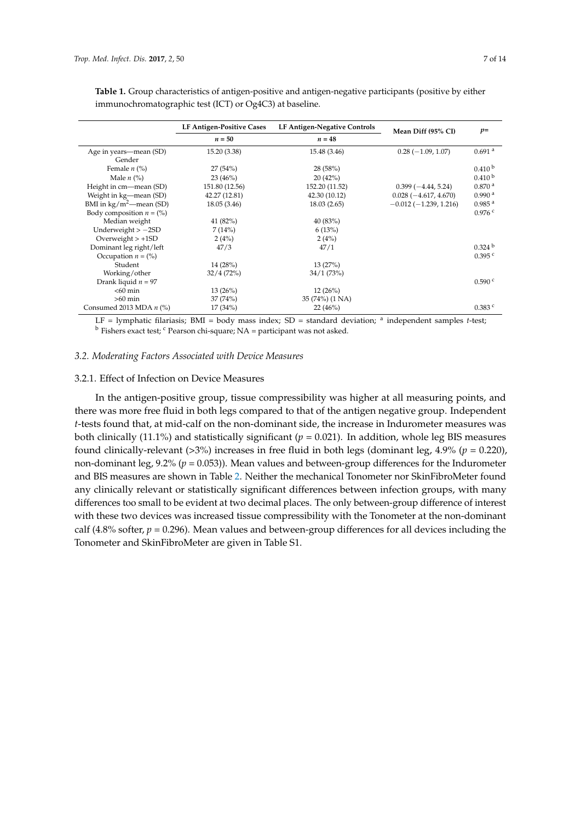|                                          | <b>LF Antigen-Positive Cases</b> | LF Antigen-Negative Controls | Mean Diff (95% CI)      | $p=$                 |
|------------------------------------------|----------------------------------|------------------------------|-------------------------|----------------------|
|                                          | $n = 50$                         | $n=48$                       |                         |                      |
| Age in years—mean (SD)                   | 15.20 (3.38)                     | 15.48 (3.46)                 | $0.28(-1.09, 1.07)$     | $0.691$ <sup>a</sup> |
| Gender                                   |                                  |                              |                         |                      |
| Female $n$ (%)                           | 27(54%)                          | 28(58%)                      |                         | $0.410^{b}$          |
| Male $n$ (%)                             | 23(46%)                          | 20(42%)                      |                         | 0.410 <sup>b</sup>   |
| Height in cm—mean (SD)                   | 151.80 (12.56)                   | 152.20 (11.52)               | $0.399(-4.44, 5.24)$    | 0.870 <sup>a</sup>   |
| Weight in kg—mean (SD)                   | 42.27 (12.81)                    | 42.30 (10.12)                | $0.028(-4.617, 4.670)$  | 0.990 <sup>a</sup>   |
| BMI in $\text{kg}/\text{m}^2$ —mean (SD) | 18.05(3.46)                      | 18.03(2.65)                  | $-0.012(-1.239, 1.216)$ | 0.985 <sup>a</sup>   |
| Body composition $n = (\% )$             |                                  |                              |                         | $0.976$ c            |
| Median weight                            | 41 (82%)                         | 40 (83%)                     |                         |                      |
| Underweight $> -2SD$                     | 7(14%)                           | 6(13%)                       |                         |                      |
| Overweight $> +1SD$                      | 2(4%)                            | 2(4%)                        |                         |                      |
| Dominant leg right/left                  | 47/3                             | 47/1                         |                         | 0.324 <sup>b</sup>   |
| Occupation $n = (\% )$                   |                                  |                              |                         | 0.395c               |
| Student                                  | 14(28%)                          | 13(27%)                      |                         |                      |
| Working/other                            | 32/4(72%)                        | 34/1 (73%)                   |                         |                      |
| Drank liquid $n = 97$                    |                                  |                              |                         | 0.590 °              |
| $<$ 60 min                               | 13(26%)                          | 12(26%)                      |                         |                      |
| $>60$ min                                | 37(74%)                          | 35 (74%) (1 NA)              |                         |                      |
| Consumed 2013 MDA $n$ (%)                | 17(34%)                          | 22(46%)                      | $\sim$ $\sim$ $\sim$    | $0.383$ $c$          |

<span id="page-6-0"></span>**Table 1.** Group characteristics of antigen-positive and antigen-negative participants (positive by either immunochromatographic test (ICT) or Og4C3) at baseline.

LF = lymphatic filariasis; BMI = body mass index; SD = standard deviation; <sup>a</sup> independent samples t-test;  $<sup>b</sup>$  Fishers exact test;  $<sup>c</sup>$  Pearson chi-square; NA = participant was not asked.</sup></sup>

#### *3.2. Moderating Factors Associated with Device Measures*

## 3.2.1. Effect of Infection on Device Measures

In the antigen-positive group, tissue compressibility was higher at all measuring points, and there was more free fluid in both legs compared to that of the antigen negative group. Independent *t*-tests found that, at mid-calf on the non-dominant side, the increase in Indurometer measures was both clinically (11.1%) and statistically significant ( $p = 0.021$ ). In addition, whole leg BIS measures found clinically-relevant (>3%) increases in free fluid in both legs (dominant leg, 4.9% (*p* = 0.220), non-dominant leg, 9.2% (*p* = 0.053)). Mean values and between-group differences for the Indurometer and BIS measures are shown in Table [2.](#page-7-0) Neither the mechanical Tonometer nor SkinFibroMeter found any clinically relevant or statistically significant differences between infection groups, with many differences too small to be evident at two decimal places. The only between-group difference of interest with these two devices was increased tissue compressibility with the Tonometer at the non-dominant calf (4.8% softer,  $p = 0.296$ ). Mean values and between-group differences for all devices including the Tonometer and SkinFibroMeter are given in Table S1.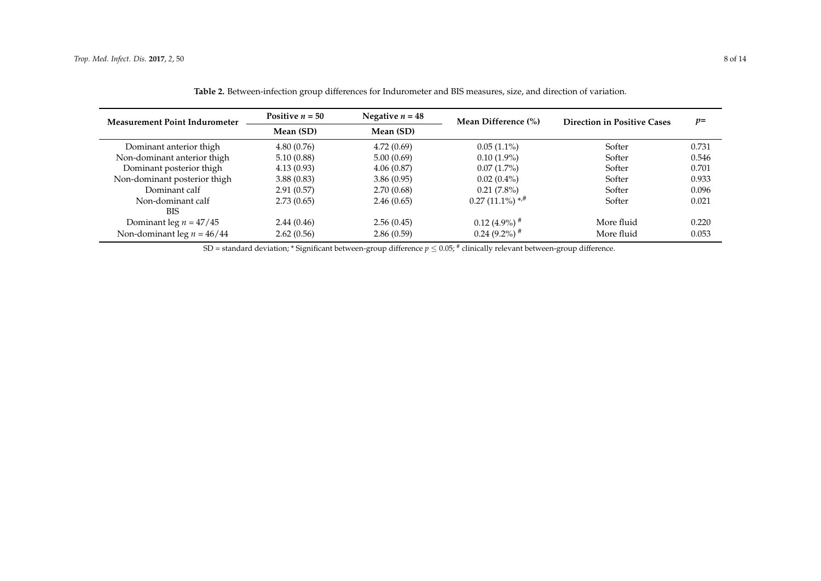| <b>Measurement Point Indurometer</b> | Positive $n = 50$      | Negative $n = 48$ | Mean Difference (%)           | <b>Direction in Positive Cases</b> | $p=$  |  |
|--------------------------------------|------------------------|-------------------|-------------------------------|------------------------------------|-------|--|
|                                      | Mean (SD)<br>Mean (SD) |                   |                               |                                    |       |  |
| Dominant anterior thigh              | 4.80(0.76)             | 4.72(0.69)        | $0.05(1.1\%)$                 | Softer                             | 0.731 |  |
| Non-dominant anterior thigh          | 5.10(0.88)             | 5.00(0.69)        | $0.10(1.9\%)$                 | Softer                             | 0.546 |  |
| Dominant posterior thigh             | 4.13(0.93)             | 4.06(0.87)        | $0.07(1.7\%)$                 | Softer                             | 0.701 |  |
| Non-dominant posterior thigh         | 3.88(0.83)             | 3.86(0.95)        | $0.02(0.4\%)$                 | Softer                             | 0.933 |  |
| Dominant calf                        | 2.91(0.57)             | 2.70(0.68)        | $0.21(7.8\%)$                 | Softer                             | 0.096 |  |
| Non-dominant calf                    | 2.73(0.65)             | 2.46(0.65)        | $0.27(11.1\%)$ * <sup>#</sup> | Softer                             | 0.021 |  |
| <b>BIS</b>                           |                        |                   |                               |                                    |       |  |
| Dominant leg $n = 47/45$             | 2.44(0.46)             | 2.56(0.45)        | $0.12$ (4.9%) <sup>#</sup>    | More fluid                         | 0.220 |  |
| Non-dominant leg $n = 46/44$         | 2.62(0.56)             | 2.86(0.59)        | $0.24(9.2\%)$ <sup>#</sup>    | More fluid                         | 0.053 |  |

**Table 2.** Between-infection group differences for Indurometer and BIS measures, size, and direction of variation.

<span id="page-7-0"></span> $SD$  = standard deviation; \* Significant between-group difference  $p \le 0.05;$   $^*$  clinically relevant between-group difference.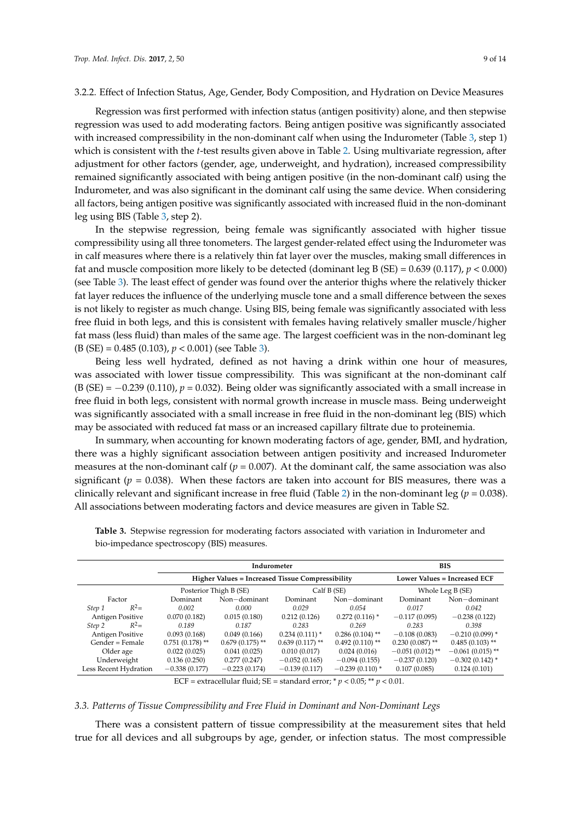#### 3.2.2. Effect of Infection Status, Age, Gender, Body Composition, and Hydration on Device Measures

Regression was first performed with infection status (antigen positivity) alone, and then stepwise regression was used to add moderating factors. Being antigen positive was significantly associated with increased compressibility in the non-dominant calf when using the Indurometer (Table [3,](#page-8-0) step 1) which is consistent with the *t*-test results given above in Table [2.](#page-7-0) Using multivariate regression, after adjustment for other factors (gender, age, underweight, and hydration), increased compressibility remained significantly associated with being antigen positive (in the non-dominant calf) using the Indurometer, and was also significant in the dominant calf using the same device. When considering all factors, being antigen positive was significantly associated with increased fluid in the non-dominant leg using BIS (Table [3,](#page-8-0) step 2).

In the stepwise regression, being female was significantly associated with higher tissue compressibility using all three tonometers. The largest gender-related effect using the Indurometer was in calf measures where there is a relatively thin fat layer over the muscles, making small differences in fat and muscle composition more likely to be detected (dominant leg B (SE) =  $0.639$  (0.117),  $p < 0.000$ ) (see Table [3\)](#page-8-0). The least effect of gender was found over the anterior thighs where the relatively thicker fat layer reduces the influence of the underlying muscle tone and a small difference between the sexes is not likely to register as much change. Using BIS, being female was significantly associated with less free fluid in both legs, and this is consistent with females having relatively smaller muscle/higher fat mass (less fluid) than males of the same age. The largest coefficient was in the non-dominant leg (B (SE) = 0.485 (0.103), *p* < 0.001) (see Table [3\)](#page-8-0).

Being less well hydrated, defined as not having a drink within one hour of measures, was associated with lower tissue compressibility. This was significant at the non-dominant calf (B (SE) = −0.239 (0.110), *p* = 0.032). Being older was significantly associated with a small increase in free fluid in both legs, consistent with normal growth increase in muscle mass. Being underweight was significantly associated with a small increase in free fluid in the non-dominant leg (BIS) which may be associated with reduced fat mass or an increased capillary filtrate due to proteinemia.

In summary, when accounting for known moderating factors of age, gender, BMI, and hydration, there was a highly significant association between antigen positivity and increased Indurometer measures at the non-dominant calf ( $p = 0.007$ ). At the dominant calf, the same association was also significant ( $p = 0.038$ ). When these factors are taken into account for BIS measures, there was a clinically relevant and significant increase in free fluid (Table [2\)](#page-7-0) in the non-dominant leg (*p* = 0.038). All associations between moderating factors and device measures are given in Table S2.

|                         |                   | Indurometer                                             | <b>BIS</b>                          |                   |                    |                    |
|-------------------------|-------------------|---------------------------------------------------------|-------------------------------------|-------------------|--------------------|--------------------|
|                         |                   | <b>Higher Values = Increased Tissue Compressibility</b> | <b>Lower Values = Increased ECF</b> |                   |                    |                    |
|                         |                   | Posterior Thigh B (SE)                                  | Calf B (SE)                         |                   | Whole Leg B (SE)   |                    |
| Factor                  | Dominant          | $Non-dominant$                                          | Dominant                            | Non-dominant      | Dominant           | Non-dominant       |
| $R^2=$<br>Step 1        | 0.002             | 0.000                                                   | 0.029                               | 0.054             | 0.017              | 0.042              |
| <b>Antigen Positive</b> | 0.070(0.182)      | 0.015(0.180)                                            | 0.212(0.126)                        | $0.272(0.116)$ *  |                    | $-0.238(0.122)$    |
| $R^2=$<br>Step 2        | 0.189             | 0.187                                                   | 0.283                               | 0.269             | 0.283              | 0.398              |
| Antigen Positive        | 0.093(0.168)      | 0.049(0.166)                                            | $0.234(0.111)*$                     | $0.286(0.104)$ ** | $-0.108(0.083)$    | $-0.210(0.099)$ *  |
| Gender = Female         | $0.751(0.178)$ ** | $0.679(0.175)$ **                                       | $0.639(0.117)$ **                   | $0.492(0.110)$ ** | $0.230(0.087)$ **  | $0.485(0.103)$ **  |
| Older age               | 0.022(0.025)      | 0.041(0.025)                                            | 0.010(0.017)                        | 0.024(0.016)      | $-0.051(0.012)$ ** | $-0.061(0.015)$ ** |
| Underweight             | 0.136(0.250)      | 0.277(0.247)                                            | $-0.052(0.165)$                     | $-0.094(0.155)$   | $-0.237(0.120)$    | $-0.302(0.142)$ *  |
| Less Recent Hydration   | $-0.338(0.177)$   | $-0.223(0.174)$                                         | $-0.139(0.117)$                     | $-0.239(0.110)$ * | 0.107(0.085)       | 0.124(0.101)       |

<span id="page-8-0"></span>**Table 3.** Stepwise regression for moderating factors associated with variation in Indurometer and bio-impedance spectroscopy (BIS) measures.

ECF = extracellular fluid; SE = standard error;  $p < 0.05$ ;  $p < 0.01$ .

#### *3.3. Patterns of Tissue Compressibility and Free Fluid in Dominant and Non-Dominant Legs*

There was a consistent pattern of tissue compressibility at the measurement sites that held true for all devices and all subgroups by age, gender, or infection status. The most compressible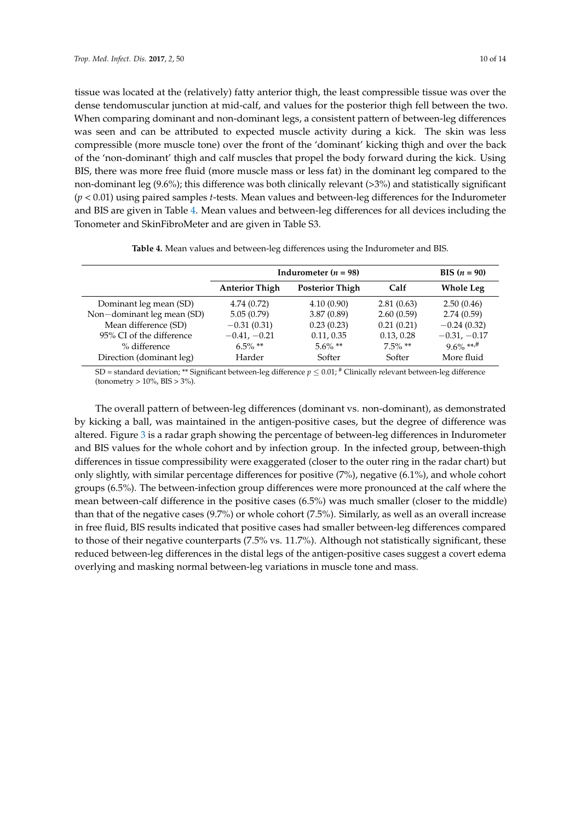tissue was located at the (relatively) fatty anterior thigh, the least compressible tissue was over the dense tendomuscular junction at mid-calf, and values for the posterior thigh fell between the two. When comparing dominant and non-dominant legs, a consistent pattern of between-leg differences was seen and can be attributed to expected muscle activity during a kick. The skin was less compressible (more muscle tone) over the front of the 'dominant' kicking thigh and over the back of the 'non-dominant' thigh and calf muscles that propel the body forward during the kick. Using BIS, there was more free fluid (more muscle mass or less fat) in the dominant leg compared to the non-dominant leg (9.6%); this difference was both clinically relevant (>3%) and statistically significant (*p* < 0.01) using paired samples *t*-tests. Mean values and between-leg differences for the Indurometer and BIS are given in Table [4.](#page-9-0) Mean values and between-leg differences for all devices including the Tonometer and SkinFibroMeter and are given in Table S3.

<span id="page-9-0"></span>

|                       | <b>BIS</b> $(n = 90)$  |                          |                  |
|-----------------------|------------------------|--------------------------|------------------|
| <b>Anterior Thigh</b> | <b>Posterior Thigh</b> | Calf                     | <b>Whole Leg</b> |
| 4.74(0.72)            | 4.10(0.90)             | 2.81(0.63)               | 2.50(0.46)       |
| 5.05(0.79)            | 3.87(0.89)             | 2.60(0.59)               | 2.74(0.59)       |
| $-0.31(0.31)$         | 0.23(0.23)             | 0.21(0.21)               | $-0.24(0.32)$    |
| $-0.41, -0.21$        | 0.11, 0.35             | 0.13, 0.28               | $-0.31, -0.17$   |
| $6.5\%$ **            | $5.6\%$ **             | $7.5\%$ **               | $9.6\%$ **,#     |
| Harder                | Softer                 | Softer                   | More fluid       |
|                       |                        | Indurometer ( $n = 98$ ) |                  |

|  |  |  |  |  |  | <b>Table 4.</b> Mean values and between-leg differences using the Indurometer and BIS. |  |  |  |  |  |  |  |  |  |  |  |
|--|--|--|--|--|--|----------------------------------------------------------------------------------------|--|--|--|--|--|--|--|--|--|--|--|
|--|--|--|--|--|--|----------------------------------------------------------------------------------------|--|--|--|--|--|--|--|--|--|--|--|

SD = standard deviation; \*\* Significant between-leg difference  $p \le 0.01$ ;  $\#$  Clinically relevant between-leg difference (tonometry > 10%, BIS > 3%).

The overall pattern of between-leg differences (dominant vs. non-dominant), as demonstrated by kicking a ball, was maintained in the antigen-positive cases, but the degree of difference was altered. Figure [3](#page-10-0) is a radar graph showing the percentage of between-leg differences in Indurometer and BIS values for the whole cohort and by infection group. In the infected group, between-thigh differences in tissue compressibility were exaggerated (closer to the outer ring in the radar chart) but only slightly, with similar percentage differences for positive (7%), negative (6.1%), and whole cohort groups (6.5%). The between-infection group differences were more pronounced at the calf where the mean between-calf difference in the positive cases (6.5%) was much smaller (closer to the middle) than that of the negative cases (9.7%) or whole cohort (7.5%). Similarly, as well as an overall increase in free fluid, BIS results indicated that positive cases had smaller between-leg differences compared to those of their negative counterparts (7.5% vs. 11.7%). Although not statistically significant, these reduced between-leg differences in the distal legs of the antigen-positive cases suggest a covert edema overlying and masking normal between-leg variations in muscle tone and mass.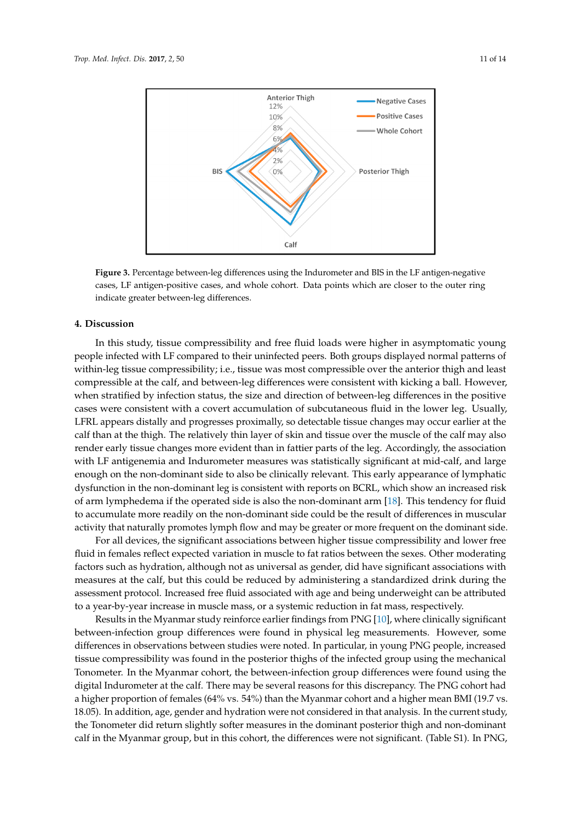<span id="page-10-0"></span>

**Figure 3.** Percentage between-leg differences using the Indurometer and BIS in the LF **Figure 3.** Percentage between-leg differences using the Indurometer and BIS in the LF antigen-negative cases, LF antigen-positive cases, and whole cohort. Data points which are closer to the outer ring indicate greater between-leg differences.

#### **4. Discussion**

In this study, tissue compressibility and free fluid loads were higher in asymptomatic young people infected with LF compared to their uninfected peers. Both groups displayed normal patterns of within-leg tissue compressibility; i.e., tissue was most compressible over the anterior thigh and least compressible at the calf, and between-leg differences were consistent with kicking a ball. However, when stratified by infection status, the size and direction of between-leg differences in the positive cases were consistent with a covert accumulation of subcutaneous fluid in the lower leg. Usually, LFRL appears distally and progresses proximally, so detectable tissue changes may occur earlier at the calf than at the thigh. The relatively thin layer of skin and tissue over the muscle of the calf may also render early tissue changes more evident than in fattier parts of the leg. Accordingly, the association with LF antigenemia and Indurometer measures was statistically significant at mid-calf, and large enough on the non-dominant side to also be clinically relevant. This early appearance of lymphatic dysfunction in the non-dominant leg is consistent with reports on BCRL, which show an increased risk of arm lymphedema if the operated side is also the non-dominant arm [\[18\]](#page-12-17). This tendency for fluid to accumulate more readily on the non-dominant side could be the result of differences in muscular activity that naturally promotes lymph flow and may be greater or more frequent on the dominant side.

For all devices, the significant associations between higher tissue compressibility and lower free fluid in females reflect expected variation in muscle to fat ratios between the sexes. Other moderating factors such as hydration, although not as universal as gender, did have significant associations with measures at the calf, but this could be reduced by administering a standardized drink during the assessment protocol. Increased free fluid associated with age and being underweight can be attributed to a year-by-year increase in muscle mass, or a systemic reduction in fat mass, respectively.

Results in the Myanmar study reinforce earlier findings from PNG [\[10\]](#page-12-9), where clinically significant between-infection group differences were found in physical leg measurements. However, some differences in observations between studies were noted. In particular, in young PNG people, increased tissue compressibility was found in the posterior thighs of the infected group using the mechanical Tonometer. In the Myanmar cohort, the between-infection group differences were found using the digital Indurometer at the calf. There may be several reasons for this discrepancy. The PNG cohort had a higher proportion of females (64% vs. 54%) than the Myanmar cohort and a higher mean BMI (19.7 vs. 18.05). In addition, age, gender and hydration were not considered in that analysis. In the current study, the Tonometer did return slightly softer measures in the dominant posterior thigh and non-dominant calf in the Myanmar group, but in this cohort, the differences were not significant. (Table S1). In PNG,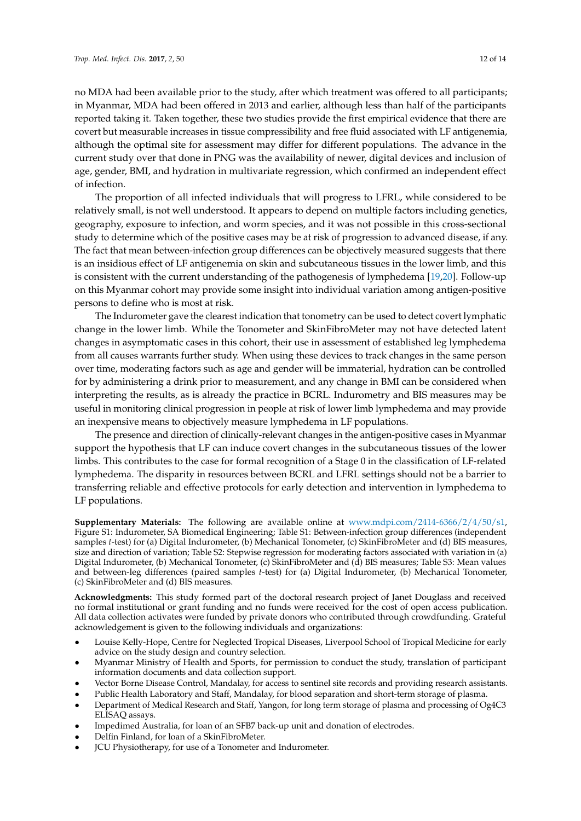no MDA had been available prior to the study, after which treatment was offered to all participants; in Myanmar, MDA had been offered in 2013 and earlier, although less than half of the participants reported taking it. Taken together, these two studies provide the first empirical evidence that there are covert but measurable increases in tissue compressibility and free fluid associated with LF antigenemia, although the optimal site for assessment may differ for different populations. The advance in the current study over that done in PNG was the availability of newer, digital devices and inclusion of age, gender, BMI, and hydration in multivariate regression, which confirmed an independent effect of infection.

The proportion of all infected individuals that will progress to LFRL, while considered to be relatively small, is not well understood. It appears to depend on multiple factors including genetics, geography, exposure to infection, and worm species, and it was not possible in this cross-sectional study to determine which of the positive cases may be at risk of progression to advanced disease, if any. The fact that mean between-infection group differences can be objectively measured suggests that there is an insidious effect of LF antigenemia on skin and subcutaneous tissues in the lower limb, and this is consistent with the current understanding of the pathogenesis of lymphedema [\[19,](#page-13-0)[20\]](#page-13-1). Follow-up on this Myanmar cohort may provide some insight into individual variation among antigen-positive persons to define who is most at risk.

The Indurometer gave the clearest indication that tonometry can be used to detect covert lymphatic change in the lower limb. While the Tonometer and SkinFibroMeter may not have detected latent changes in asymptomatic cases in this cohort, their use in assessment of established leg lymphedema from all causes warrants further study. When using these devices to track changes in the same person over time, moderating factors such as age and gender will be immaterial, hydration can be controlled for by administering a drink prior to measurement, and any change in BMI can be considered when interpreting the results, as is already the practice in BCRL. Indurometry and BIS measures may be useful in monitoring clinical progression in people at risk of lower limb lymphedema and may provide an inexpensive means to objectively measure lymphedema in LF populations.

The presence and direction of clinically-relevant changes in the antigen-positive cases in Myanmar support the hypothesis that LF can induce covert changes in the subcutaneous tissues of the lower limbs. This contributes to the case for formal recognition of a Stage 0 in the classification of LF-related lymphedema. The disparity in resources between BCRL and LFRL settings should not be a barrier to transferring reliable and effective protocols for early detection and intervention in lymphedema to LF populations.

**Supplementary Materials:** The following are available online at [www.mdpi.com/2414-6366/2/4/50/s1,](www.mdpi.com/2414-6366/2/4/50/s1) Figure S1: Indurometer, SA Biomedical Engineering; Table S1: Between-infection group differences (independent samples *t*-test) for (a) Digital Indurometer, (b) Mechanical Tonometer, (c) SkinFibroMeter and (d) BIS measures, size and direction of variation; Table S2: Stepwise regression for moderating factors associated with variation in (a) Digital Indurometer, (b) Mechanical Tonometer, (c) SkinFibroMeter and (d) BIS measures; Table S3: Mean values and between-leg differences (paired samples *t*-test) for (a) Digital Indurometer, (b) Mechanical Tonometer, (c) SkinFibroMeter and (d) BIS measures.

**Acknowledgments:** This study formed part of the doctoral research project of Janet Douglass and received no formal institutional or grant funding and no funds were received for the cost of open access publication. All data collection activates were funded by private donors who contributed through crowdfunding. Grateful acknowledgement is given to the following individuals and organizations:

- Louise Kelly-Hope, Centre for Neglected Tropical Diseases, Liverpool School of Tropical Medicine for early advice on the study design and country selection.
- Myanmar Ministry of Health and Sports, for permission to conduct the study, translation of participant information documents and data collection support.
- Vector Borne Disease Control, Mandalay, for access to sentinel site records and providing research assistants.
- Public Health Laboratory and Staff, Mandalay, for blood separation and short-term storage of plasma.
- Department of Medical Research and Staff, Yangon, for long term storage of plasma and processing of Og4C3 ELISAQ assays.
- Impedimed Australia, for loan of an SFB7 back-up unit and donation of electrodes.
- Delfin Finland, for loan of a SkinFibroMeter.
- JCU Physiotherapy, for use of a Tonometer and Indurometer.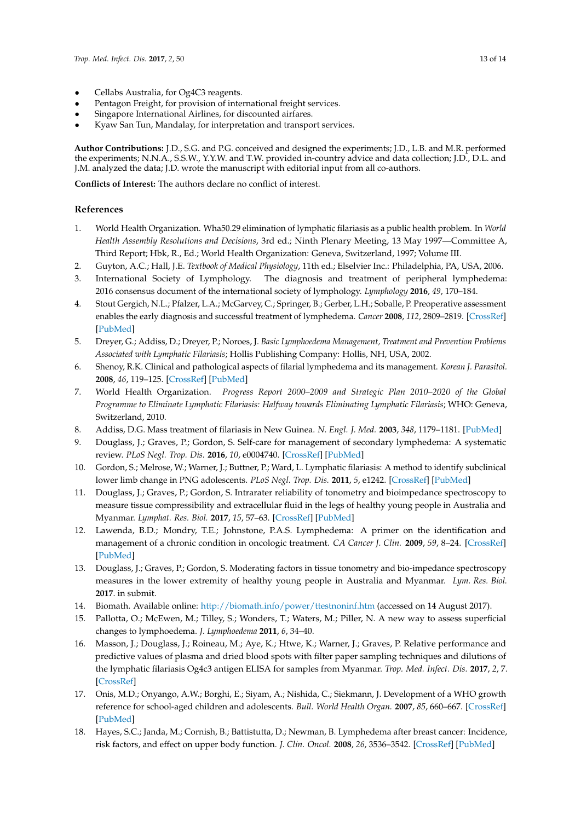- Cellabs Australia, for Og4C3 reagents.
- Pentagon Freight, for provision of international freight services.
- Singapore International Airlines, for discounted airfares.
- Kyaw San Tun, Mandalay, for interpretation and transport services.

**Author Contributions:** J.D., S.G. and P.G. conceived and designed the experiments; J.D., L.B. and M.R. performed the experiments; N.N.A., S.S.W., Y.Y.W. and T.W. provided in-country advice and data collection; J.D., D.L. and J.M. analyzed the data; J.D. wrote the manuscript with editorial input from all co-authors.

**Conflicts of Interest:** The authors declare no conflict of interest.

## **References**

- <span id="page-12-0"></span>1. World Health Organization. Wha50.29 elimination of lymphatic filariasis as a public health problem. In *World Health Assembly Resolutions and Decisions*, 3rd ed.; Ninth Plenary Meeting, 13 May 1997—Committee A, Third Report; Hbk, R., Ed.; World Health Organization: Geneva, Switzerland, 1997; Volume III.
- <span id="page-12-1"></span>2. Guyton, A.C.; Hall, J.E. *Textbook of Medical Physiology*, 11th ed.; Elselvier Inc.: Philadelphia, PA, USA, 2006.
- <span id="page-12-2"></span>3. International Society of Lymphology. The diagnosis and treatment of peripheral lymphedema: 2016 consensus document of the international society of lymphology. *Lymphology* **2016**, *49*, 170–184.
- <span id="page-12-3"></span>4. Stout Gergich, N.L.; Pfalzer, L.A.; McGarvey, C.; Springer, B.; Gerber, L.H.; Soballe, P. Preoperative assessment enables the early diagnosis and successful treatment of lymphedema. *Cancer* **2008**, *112*, 2809–2819. [\[CrossRef\]](http://dx.doi.org/10.1002/cncr.23494) [\[PubMed\]](http://www.ncbi.nlm.nih.gov/pubmed/18428212)
- <span id="page-12-4"></span>5. Dreyer, G.; Addiss, D.; Dreyer, P.; Noroes, J. *Basic Lymphoedema Management, Treatment and Prevention Problems Associated with Lymphatic Filariasis*; Hollis Publishing Company: Hollis, NH, USA, 2002.
- <span id="page-12-5"></span>6. Shenoy, R.K. Clinical and pathological aspects of filarial lymphedema and its management. *Korean J. Parasitol.* **2008**, *46*, 119–125. [\[CrossRef\]](http://dx.doi.org/10.3347/kjp.2008.46.3.119) [\[PubMed\]](http://www.ncbi.nlm.nih.gov/pubmed/18830049)
- <span id="page-12-6"></span>7. World Health Organization. *Progress Report 2000–2009 and Strategic Plan 2010–2020 of the Global Programme to Eliminate Lymphatic Filariasis: Halfway towards Eliminating Lymphatic Filariasis*; WHO: Geneva, Switzerland, 2010.
- <span id="page-12-7"></span>8. Addiss, D.G. Mass treatment of filariasis in New Guinea. *N. Engl. J. Med.* **2003**, *348*, 1179–1181. [\[PubMed\]](http://www.ncbi.nlm.nih.gov/pubmed/12646679)
- <span id="page-12-8"></span>9. Douglass, J.; Graves, P.; Gordon, S. Self-care for management of secondary lymphedema: A systematic review. *PLoS Negl. Trop. Dis.* **2016**, *10*, e0004740. [\[CrossRef\]](http://dx.doi.org/10.1371/journal.pntd.0004740) [\[PubMed\]](http://www.ncbi.nlm.nih.gov/pubmed/27275844)
- <span id="page-12-9"></span>10. Gordon, S.; Melrose, W.; Warner, J.; Buttner, P.; Ward, L. Lymphatic filariasis: A method to identify subclinical lower limb change in PNG adolescents. *PLoS Negl. Trop. Dis.* **2011**, *5*, e1242. [\[CrossRef\]](http://dx.doi.org/10.1371/journal.pntd.0001242) [\[PubMed\]](http://www.ncbi.nlm.nih.gov/pubmed/21811644)
- <span id="page-12-10"></span>11. Douglass, J.; Graves, P.; Gordon, S. Intrarater reliability of tonometry and bioimpedance spectroscopy to measure tissue compressibility and extracellular fluid in the legs of healthy young people in Australia and Myanmar. *Lymphat. Res. Biol.* **2017**, *15*, 57–63. [\[CrossRef\]](http://dx.doi.org/10.1089/lrb.2016.0021) [\[PubMed\]](http://www.ncbi.nlm.nih.gov/pubmed/27673568)
- <span id="page-12-11"></span>12. Lawenda, B.D.; Mondry, T.E.; Johnstone, P.A.S. Lymphedema: A primer on the identification and management of a chronic condition in oncologic treatment. *CA Cancer J. Clin.* **2009**, *59*, 8–24. [\[CrossRef\]](http://dx.doi.org/10.3322/caac.20001) [\[PubMed\]](http://www.ncbi.nlm.nih.gov/pubmed/19147865)
- <span id="page-12-12"></span>13. Douglass, J.; Graves, P.; Gordon, S. Moderating factors in tissue tonometry and bio-impedance spectroscopy measures in the lower extremity of healthy young people in Australia and Myanmar. *Lym. Res. Biol.* **2017**. in submit.
- <span id="page-12-13"></span>14. Biomath. Available online: <http://biomath.info/power/ttestnoninf.htm> (accessed on 14 August 2017).
- <span id="page-12-14"></span>15. Pallotta, O.; McEwen, M.; Tilley, S.; Wonders, T.; Waters, M.; Piller, N. A new way to assess superficial changes to lymphoedema. *J. Lymphoedema* **2011**, *6*, 34–40.
- <span id="page-12-15"></span>16. Masson, J.; Douglass, J.; Roineau, M.; Aye, K.; Htwe, K.; Warner, J.; Graves, P. Relative performance and predictive values of plasma and dried blood spots with filter paper sampling techniques and dilutions of the lymphatic filariasis Og4c3 antigen ELISA for samples from Myanmar. *Trop. Med. Infect. Dis.* **2017**, *2*, 7. [\[CrossRef\]](http://dx.doi.org/10.3390/tropicalmed2020007)
- <span id="page-12-16"></span>17. Onis, M.D.; Onyango, A.W.; Borghi, E.; Siyam, A.; Nishida, C.; Siekmann, J. Development of a WHO growth reference for school-aged children and adolescents. *Bull. World Health Organ.* **2007**, *85*, 660–667. [\[CrossRef\]](http://dx.doi.org/10.2471/BLT.07.043497) [\[PubMed\]](http://www.ncbi.nlm.nih.gov/pubmed/18026621)
- <span id="page-12-17"></span>18. Hayes, S.C.; Janda, M.; Cornish, B.; Battistutta, D.; Newman, B. Lymphedema after breast cancer: Incidence, risk factors, and effect on upper body function. *J. Clin. Oncol.* **2008**, *26*, 3536–3542. [\[CrossRef\]](http://dx.doi.org/10.1200/JCO.2007.14.4899) [\[PubMed\]](http://www.ncbi.nlm.nih.gov/pubmed/18640935)